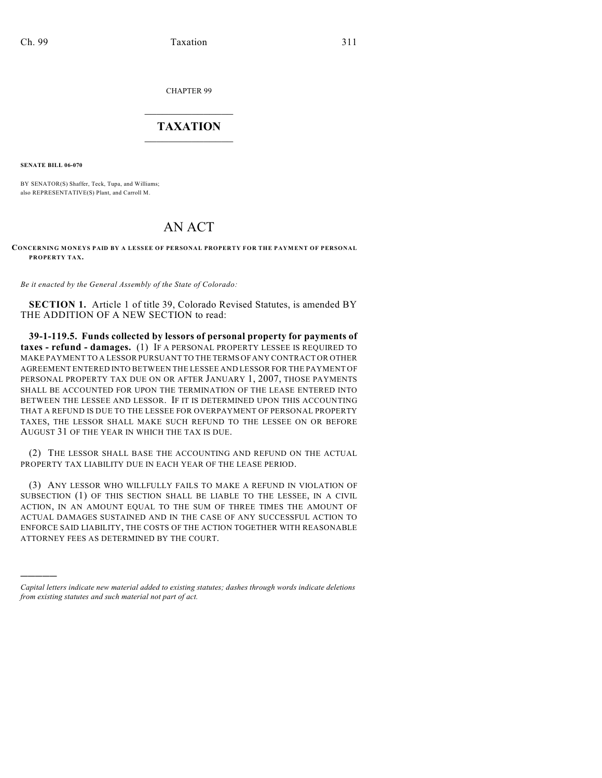CHAPTER 99

## $\mathcal{L}_\text{max}$  . The set of the set of the set of the set of the set of the set of the set of the set of the set of the set of the set of the set of the set of the set of the set of the set of the set of the set of the set **TAXATION**  $\_$

**SENATE BILL 06-070**

)))))

BY SENATOR(S) Shaffer, Teck, Tupa, and Williams; also REPRESENTATIVE(S) Plant, and Carroll M.

## AN ACT

## **CONCERNING MONEYS PAID BY A LESSEE OF PERSONAL PROPERTY FOR THE PAYMENT OF PERSONAL PROPERTY TAX.**

*Be it enacted by the General Assembly of the State of Colorado:*

**SECTION 1.** Article 1 of title 39, Colorado Revised Statutes, is amended BY THE ADDITION OF A NEW SECTION to read:

**39-1-119.5. Funds collected by lessors of personal property for payments of taxes - refund - damages.** (1) IF A PERSONAL PROPERTY LESSEE IS REQUIRED TO MAKE PAYMENT TO A LESSOR PURSUANT TO THE TERMS OF ANY CONTRACT OR OTHER AGREEMENT ENTERED INTO BETWEEN THE LESSEE AND LESSOR FOR THE PAYMENT OF PERSONAL PROPERTY TAX DUE ON OR AFTER JANUARY 1, 2007, THOSE PAYMENTS SHALL BE ACCOUNTED FOR UPON THE TERMINATION OF THE LEASE ENTERED INTO BETWEEN THE LESSEE AND LESSOR. IF IT IS DETERMINED UPON THIS ACCOUNTING THAT A REFUND IS DUE TO THE LESSEE FOR OVERPAYMENT OF PERSONAL PROPERTY TAXES, THE LESSOR SHALL MAKE SUCH REFUND TO THE LESSEE ON OR BEFORE AUGUST 31 OF THE YEAR IN WHICH THE TAX IS DUE.

(2) THE LESSOR SHALL BASE THE ACCOUNTING AND REFUND ON THE ACTUAL PROPERTY TAX LIABILITY DUE IN EACH YEAR OF THE LEASE PERIOD.

(3) ANY LESSOR WHO WILLFULLY FAILS TO MAKE A REFUND IN VIOLATION OF SUBSECTION (1) OF THIS SECTION SHALL BE LIABLE TO THE LESSEE, IN A CIVIL ACTION, IN AN AMOUNT EQUAL TO THE SUM OF THREE TIMES THE AMOUNT OF ACTUAL DAMAGES SUSTAINED AND IN THE CASE OF ANY SUCCESSFUL ACTION TO ENFORCE SAID LIABILITY, THE COSTS OF THE ACTION TOGETHER WITH REASONABLE ATTORNEY FEES AS DETERMINED BY THE COURT.

*Capital letters indicate new material added to existing statutes; dashes through words indicate deletions from existing statutes and such material not part of act.*